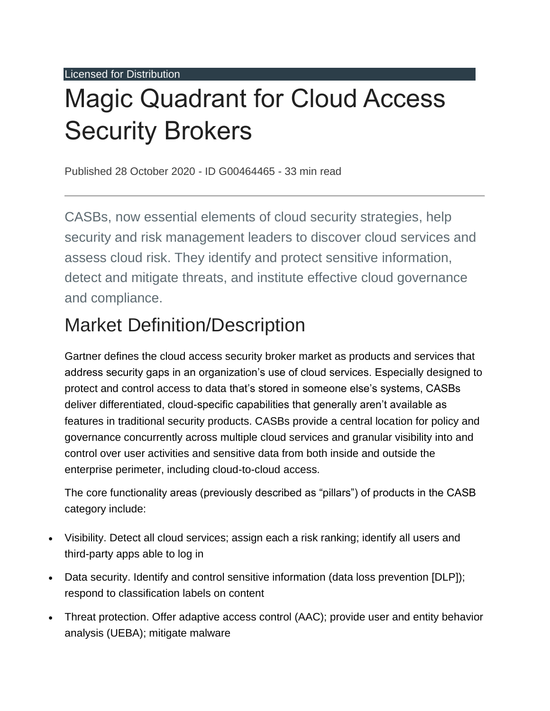Licensed for Distribution

# Magic Quadrant for Cloud Access Security Brokers

Published 28 October 2020 - ID G00464465 - 33 min read

CASBs, now essential elements of cloud security strategies, help security and risk management leaders to discover cloud services and assess cloud risk. They identify and protect sensitive information, detect and mitigate threats, and institute effective cloud governance and compliance.

## Market Definition/Description

Gartner defines the cloud access security broker market as products and services that address security gaps in an organization's use of cloud services. Especially designed to protect and control access to data that's stored in someone else's systems, CASBs deliver differentiated, cloud-specific capabilities that generally aren't available as features in traditional security products. CASBs provide a central location for policy and governance concurrently across multiple cloud services and granular visibility into and control over user activities and sensitive data from both inside and outside the enterprise perimeter, including cloud-to-cloud access.

The core functionality areas (previously described as "pillars") of products in the CASB category include:

- Visibility. Detect all cloud services; assign each a risk ranking; identify all users and third-party apps able to log in
- Data security. Identify and control sensitive information (data loss prevention [DLP]); respond to classification labels on content
- Threat protection. Offer adaptive access control (AAC); provide user and entity behavior analysis (UEBA); mitigate malware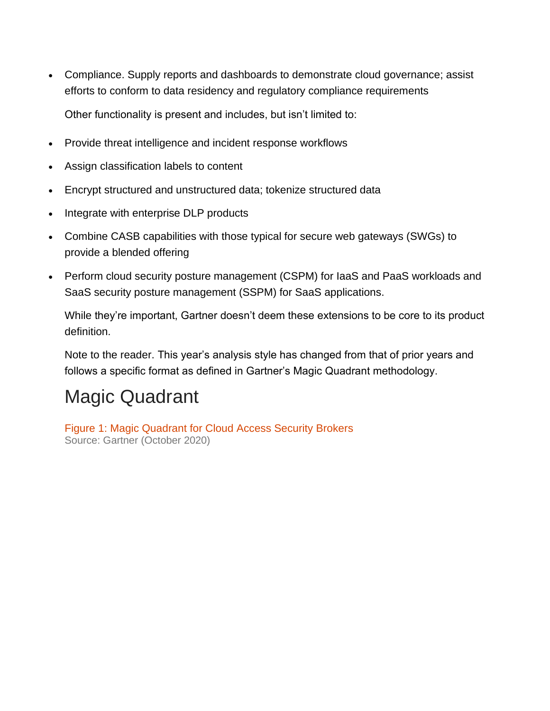- Compliance. Supply reports and dashboards to demonstrate cloud governance; assist efforts to conform to data residency and regulatory compliance requirements Other functionality is present and includes, but isn't limited to:
- Provide threat intelligence and incident response workflows
- Assign classification labels to content
- Encrypt structured and unstructured data; tokenize structured data
- Integrate with enterprise DLP products
- Combine CASB capabilities with those typical for secure web gateways (SWGs) to provide a blended offering
- Perform cloud security posture management (CSPM) for IaaS and PaaS workloads and SaaS security posture management (SSPM) for SaaS applications.

While they're important, Gartner doesn't deem these extensions to be core to its product definition.

Note to the reader. This year's analysis style has changed from that of prior years and follows a specific format as defined in Gartner's Magic Quadrant methodology.

## Magic Quadrant

Figure 1: Magic Quadrant for Cloud Access Security Brokers Source: Gartner (October 2020)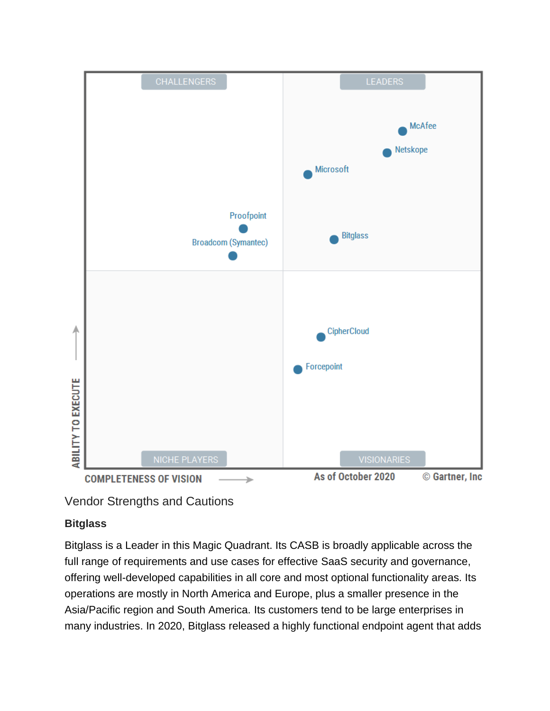

Vendor Strengths and Cautions

#### **Bitglass**

Bitglass is a Leader in this Magic Quadrant. Its CASB is broadly applicable across the full range of requirements and use cases for effective SaaS security and governance, offering well-developed capabilities in all core and most optional functionality areas. Its operations are mostly in North America and Europe, plus a smaller presence in the Asia/Pacific region and South America. Its customers tend to be large enterprises in many industries. In 2020, Bitglass released a highly functional endpoint agent that adds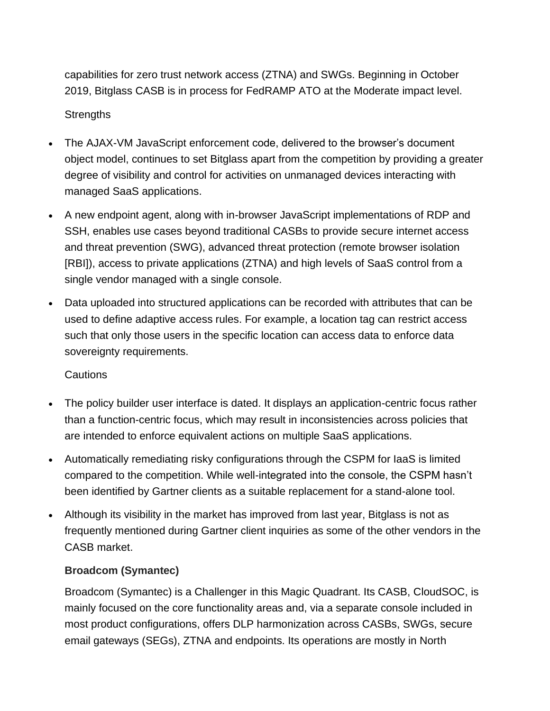capabilities for zero trust network access (ZTNA) and SWGs. Beginning in October 2019, Bitglass CASB is in process for FedRAMP ATO at the Moderate impact level. **Strengths** 

- The AJAX-VM JavaScript enforcement code, delivered to the browser's document object model, continues to set Bitglass apart from the competition by providing a greater degree of visibility and control for activities on unmanaged devices interacting with managed SaaS applications.
- A new endpoint agent, along with in-browser JavaScript implementations of RDP and SSH, enables use cases beyond traditional CASBs to provide secure internet access and threat prevention (SWG), advanced threat protection (remote browser isolation [RBI]), access to private applications (ZTNA) and high levels of SaaS control from a single vendor managed with a single console.
- Data uploaded into structured applications can be recorded with attributes that can be used to define adaptive access rules. For example, a location tag can restrict access such that only those users in the specific location can access data to enforce data sovereignty requirements.

#### Cautions

- The policy builder user interface is dated. It displays an application-centric focus rather than a function-centric focus, which may result in inconsistencies across policies that are intended to enforce equivalent actions on multiple SaaS applications.
- Automatically remediating risky configurations through the CSPM for IaaS is limited compared to the competition. While well-integrated into the console, the CSPM hasn't been identified by Gartner clients as a suitable replacement for a stand-alone tool.
- Although its visibility in the market has improved from last year, Bitglass is not as frequently mentioned during Gartner client inquiries as some of the other vendors in the CASB market.

#### **Broadcom (Symantec)**

Broadcom (Symantec) is a Challenger in this Magic Quadrant. Its CASB, CloudSOC, is mainly focused on the core functionality areas and, via a separate console included in most product configurations, offers DLP harmonization across CASBs, SWGs, secure email gateways (SEGs), ZTNA and endpoints. Its operations are mostly in North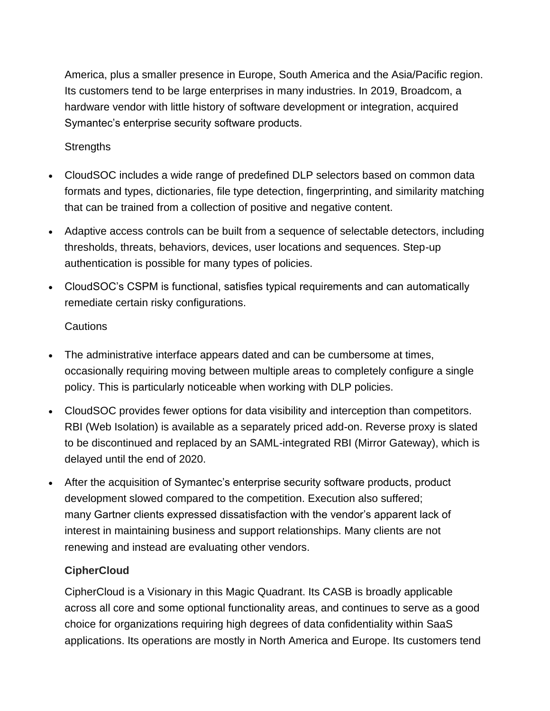America, plus a smaller presence in Europe, South America and the Asia/Pacific region. Its customers tend to be large enterprises in many industries. In 2019, Broadcom, a hardware vendor with little history of software development or integration, acquired Symantec's enterprise security software products.

#### **Strengths**

- CloudSOC includes a wide range of predefined DLP selectors based on common data formats and types, dictionaries, file type detection, fingerprinting, and similarity matching that can be trained from a collection of positive and negative content.
- Adaptive access controls can be built from a sequence of selectable detectors, including thresholds, threats, behaviors, devices, user locations and sequences. Step-up authentication is possible for many types of policies.
- CloudSOC's CSPM is functional, satisfies typical requirements and can automatically remediate certain risky configurations.

#### **Cautions**

- The administrative interface appears dated and can be cumbersome at times, occasionally requiring moving between multiple areas to completely configure a single policy. This is particularly noticeable when working with DLP policies.
- CloudSOC provides fewer options for data visibility and interception than competitors. RBI (Web Isolation) is available as a separately priced add-on. Reverse proxy is slated to be discontinued and replaced by an SAML-integrated RBI (Mirror Gateway), which is delayed until the end of 2020.
- After the acquisition of Symantec's enterprise security software products, product development slowed compared to the competition. Execution also suffered; many Gartner clients expressed dissatisfaction with the vendor's apparent lack of interest in maintaining business and support relationships. Many clients are not renewing and instead are evaluating other vendors.

#### **CipherCloud**

CipherCloud is a Visionary in this Magic Quadrant. Its CASB is broadly applicable across all core and some optional functionality areas, and continues to serve as a good choice for organizations requiring high degrees of data confidentiality within SaaS applications. Its operations are mostly in North America and Europe. Its customers tend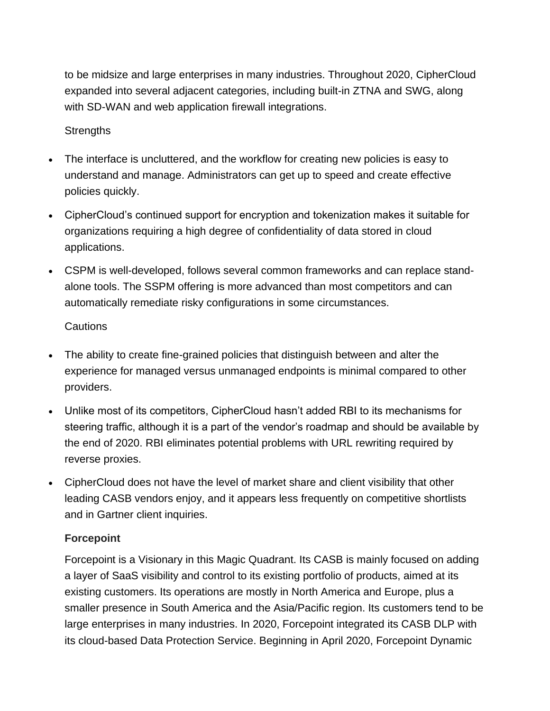to be midsize and large enterprises in many industries. Throughout 2020, CipherCloud expanded into several adjacent categories, including built-in ZTNA and SWG, along with SD-WAN and web application firewall integrations.

#### **Strengths**

- The interface is uncluttered, and the workflow for creating new policies is easy to understand and manage. Administrators can get up to speed and create effective policies quickly.
- CipherCloud's continued support for encryption and tokenization makes it suitable for organizations requiring a high degree of confidentiality of data stored in cloud applications.
- CSPM is well-developed, follows several common frameworks and can replace standalone tools. The SSPM offering is more advanced than most competitors and can automatically remediate risky configurations in some circumstances.

#### **Cautions**

- The ability to create fine-grained policies that distinguish between and alter the experience for managed versus unmanaged endpoints is minimal compared to other providers.
- Unlike most of its competitors, CipherCloud hasn't added RBI to its mechanisms for steering traffic, although it is a part of the vendor's roadmap and should be available by the end of 2020. RBI eliminates potential problems with URL rewriting required by reverse proxies.
- CipherCloud does not have the level of market share and client visibility that other leading CASB vendors enjoy, and it appears less frequently on competitive shortlists and in Gartner client inquiries.

#### **Forcepoint**

Forcepoint is a Visionary in this Magic Quadrant. Its CASB is mainly focused on adding a layer of SaaS visibility and control to its existing portfolio of products, aimed at its existing customers. Its operations are mostly in North America and Europe, plus a smaller presence in South America and the Asia/Pacific region. Its customers tend to be large enterprises in many industries. In 2020, Forcepoint integrated its CASB DLP with its cloud-based Data Protection Service. Beginning in April 2020, Forcepoint Dynamic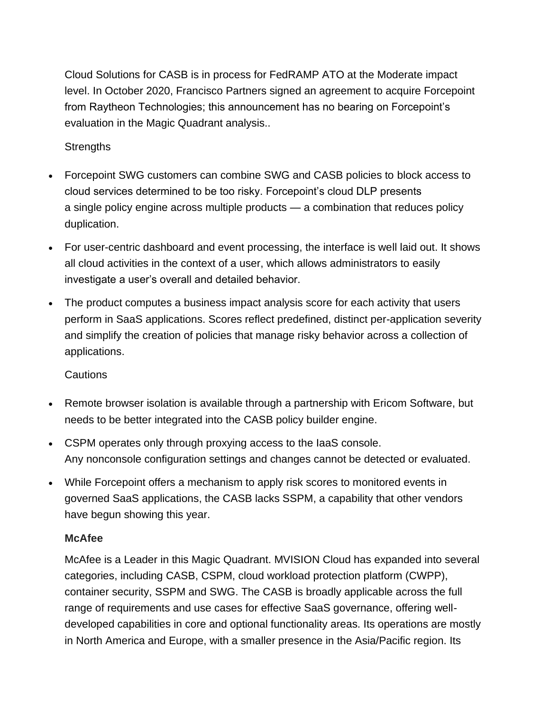Cloud Solutions for CASB is in process for FedRAMP ATO at the Moderate impact level. In October 2020, Francisco Partners signed an agreement to acquire Forcepoint from Raytheon Technologies; this announcement has no bearing on Forcepoint's evaluation in the Magic Quadrant analysis..

#### **Strengths**

- Forcepoint SWG customers can combine SWG and CASB policies to block access to cloud services determined to be too risky. Forcepoint's cloud DLP presents a single policy engine across multiple products — a combination that reduces policy duplication.
- For user-centric dashboard and event processing, the interface is well laid out. It shows all cloud activities in the context of a user, which allows administrators to easily investigate a user's overall and detailed behavior.
- The product computes a business impact analysis score for each activity that users perform in SaaS applications. Scores reflect predefined, distinct per-application severity and simplify the creation of policies that manage risky behavior across a collection of applications.

#### Cautions

- Remote browser isolation is available through a partnership with Ericom Software, but needs to be better integrated into the CASB policy builder engine.
- CSPM operates only through proxying access to the IaaS console. Any nonconsole configuration settings and changes cannot be detected or evaluated.
- While Forcepoint offers a mechanism to apply risk scores to monitored events in governed SaaS applications, the CASB lacks SSPM, a capability that other vendors have begun showing this year.

#### **McAfee**

McAfee is a Leader in this Magic Quadrant. MVISION Cloud has expanded into several categories, including CASB, CSPM, cloud workload protection platform (CWPP), container security, SSPM and SWG. The CASB is broadly applicable across the full range of requirements and use cases for effective SaaS governance, offering welldeveloped capabilities in core and optional functionality areas. Its operations are mostly in North America and Europe, with a smaller presence in the Asia/Pacific region. Its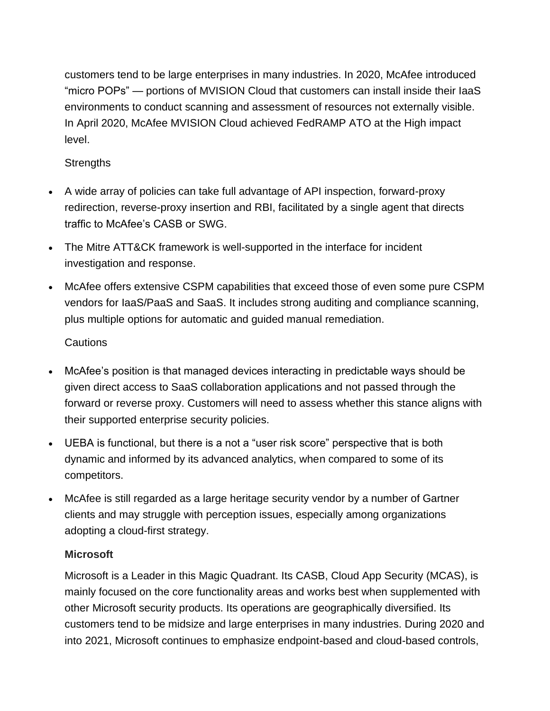customers tend to be large enterprises in many industries. In 2020, McAfee introduced "micro POPs" — portions of MVISION Cloud that customers can install inside their IaaS environments to conduct scanning and assessment of resources not externally visible. In April 2020, McAfee MVISION Cloud achieved FedRAMP ATO at the High impact level.

#### **Strengths**

- A wide array of policies can take full advantage of API inspection, forward-proxy redirection, reverse-proxy insertion and RBI, facilitated by a single agent that directs traffic to McAfee's CASB or SWG.
- The Mitre ATT&CK framework is well-supported in the interface for incident investigation and response.
- McAfee offers extensive CSPM capabilities that exceed those of even some pure CSPM vendors for IaaS/PaaS and SaaS. It includes strong auditing and compliance scanning, plus multiple options for automatic and guided manual remediation.

#### **Cautions**

- McAfee's position is that managed devices interacting in predictable ways should be given direct access to SaaS collaboration applications and not passed through the forward or reverse proxy. Customers will need to assess whether this stance aligns with their supported enterprise security policies.
- UEBA is functional, but there is a not a "user risk score" perspective that is both dynamic and informed by its advanced analytics, when compared to some of its competitors.
- McAfee is still regarded as a large heritage security vendor by a number of Gartner clients and may struggle with perception issues, especially among organizations adopting a cloud-first strategy.

#### **Microsoft**

Microsoft is a Leader in this Magic Quadrant. Its CASB, Cloud App Security (MCAS), is mainly focused on the core functionality areas and works best when supplemented with other Microsoft security products. Its operations are geographically diversified. Its customers tend to be midsize and large enterprises in many industries. During 2020 and into 2021, Microsoft continues to emphasize endpoint-based and cloud-based controls,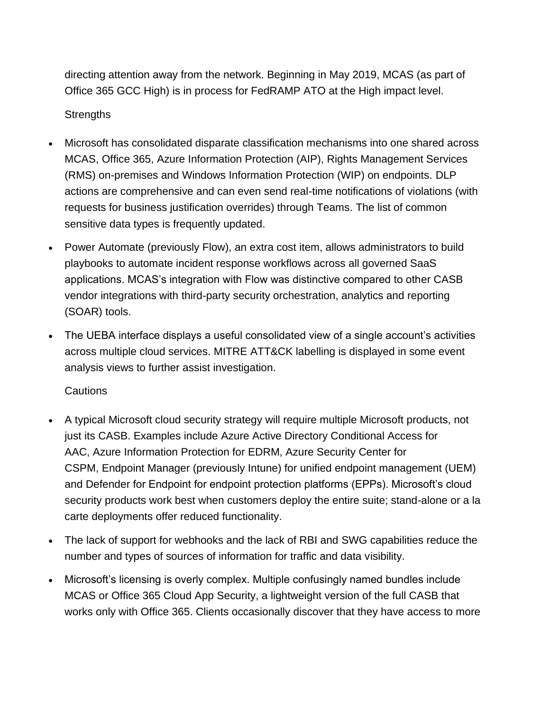directing attention away from the network. Beginning in May 2019, MCAS (as part of Office 365 GCC High) is in process for FedRAMP ATO at the High impact level.

#### **Strengths**

- Microsoft has consolidated disparate classification mechanisms into one shared across MCAS, Office 365, Azure Information Protection (AIP), Rights Management Services (RMS) on-premises and Windows Information Protection (WIP) on endpoints. DLP actions are comprehensive and can even send real-time notifications of violations (with requests for business justification overrides) through Teams. The list of common sensitive data types is frequently updated.
- Power Automate (previously Flow), an extra cost item, allows administrators to build playbooks to automate incident response workflows across all governed SaaS applications. MCAS's integration with Flow was distinctive compared to other CASB vendor integrations with third-party security orchestration, analytics and reporting (SOAR) tools.
- The UEBA interface displays a useful consolidated view of a single account's activities across multiple cloud services. MITRE ATT&CK labelling is displayed in some event analysis views to further assist investigation.

#### **Cautions**

- A typical Microsoft cloud security strategy will require multiple Microsoft products, not just its CASB. Examples include Azure Active Directory Conditional Access for AAC, Azure Information Protection for EDRM, Azure Security Center for CSPM, Endpoint Manager (previously Intune) for unified endpoint management (UEM) and Defender for Endpoint for endpoint protection platforms (EPPs). Microsoft's cloud security products work best when customers deploy the entire suite; stand-alone or a la carte deployments offer reduced functionality.
- The lack of support for webhooks and the lack of RBI and SWG capabilities reduce the number and types of sources of information for traffic and data visibility.
- Microsoft's licensing is overly complex. Multiple confusingly named bundles include MCAS or Office 365 Cloud App Security, a lightweight version of the full CASB that works only with Office 365. Clients occasionally discover that they have access to more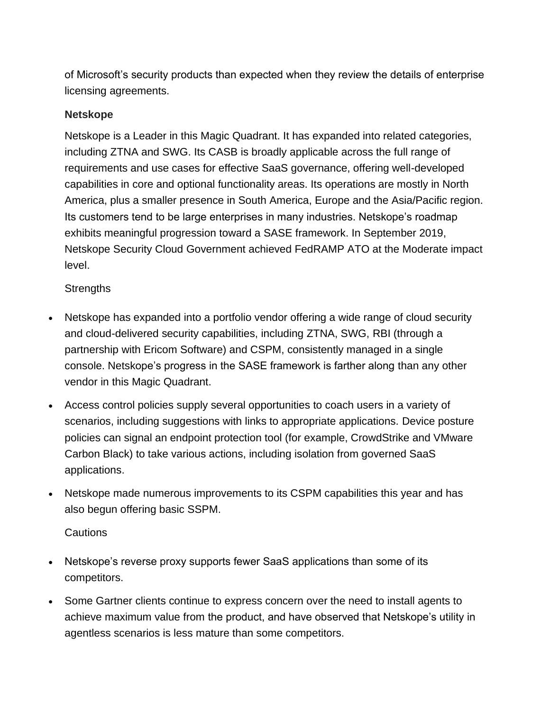of Microsoft's security products than expected when they review the details of enterprise licensing agreements.

#### **Netskope**

Netskope is a Leader in this Magic Quadrant. It has expanded into related categories, including ZTNA and SWG. Its CASB is broadly applicable across the full range of requirements and use cases for effective SaaS governance, offering well-developed capabilities in core and optional functionality areas. Its operations are mostly in North America, plus a smaller presence in South America, Europe and the Asia/Pacific region. Its customers tend to be large enterprises in many industries. Netskope's roadmap exhibits meaningful progression toward a SASE framework. In September 2019, Netskope Security Cloud Government achieved FedRAMP ATO at the Moderate impact level.

#### **Strengths**

- Netskope has expanded into a portfolio vendor offering a wide range of cloud security and cloud-delivered security capabilities, including ZTNA, SWG, RBI (through a partnership with Ericom Software) and CSPM, consistently managed in a single console. Netskope's progress in the SASE framework is farther along than any other vendor in this Magic Quadrant.
- Access control policies supply several opportunities to coach users in a variety of scenarios, including suggestions with links to appropriate applications. Device posture policies can signal an endpoint protection tool (for example, CrowdStrike and VMware Carbon Black) to take various actions, including isolation from governed SaaS applications.
- Netskope made numerous improvements to its CSPM capabilities this year and has also begun offering basic SSPM.

#### **Cautions**

- Netskope's reverse proxy supports fewer SaaS applications than some of its competitors.
- Some Gartner clients continue to express concern over the need to install agents to achieve maximum value from the product, and have observed that Netskope's utility in agentless scenarios is less mature than some competitors.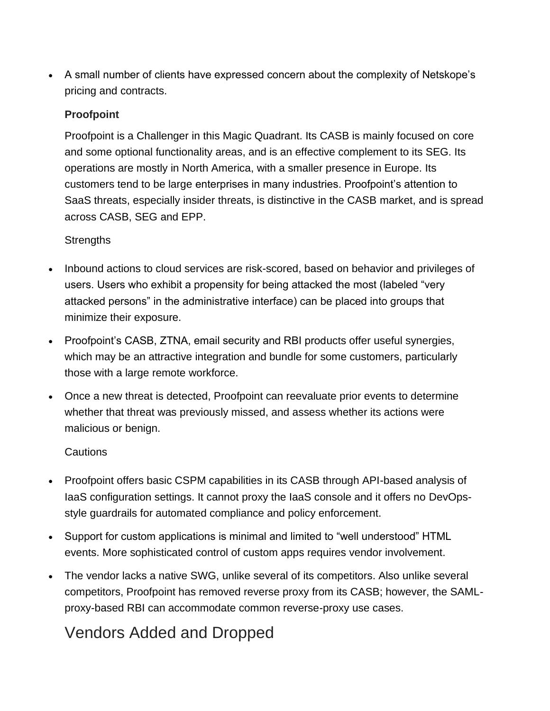• A small number of clients have expressed concern about the complexity of Netskope's pricing and contracts.

#### **Proofpoint**

Proofpoint is a Challenger in this Magic Quadrant. Its CASB is mainly focused on core and some optional functionality areas, and is an effective complement to its SEG. Its operations are mostly in North America, with a smaller presence in Europe. Its customers tend to be large enterprises in many industries. Proofpoint's attention to SaaS threats, especially insider threats, is distinctive in the CASB market, and is spread across CASB, SEG and EPP.

#### **Strengths**

- Inbound actions to cloud services are risk-scored, based on behavior and privileges of users. Users who exhibit a propensity for being attacked the most (labeled "very attacked persons" in the administrative interface) can be placed into groups that minimize their exposure.
- Proofpoint's CASB, ZTNA, email security and RBI products offer useful synergies, which may be an attractive integration and bundle for some customers, particularly those with a large remote workforce.
- Once a new threat is detected, Proofpoint can reevaluate prior events to determine whether that threat was previously missed, and assess whether its actions were malicious or benign.

#### Cautions

- Proofpoint offers basic CSPM capabilities in its CASB through API-based analysis of IaaS configuration settings. It cannot proxy the IaaS console and it offers no DevOpsstyle guardrails for automated compliance and policy enforcement.
- Support for custom applications is minimal and limited to "well understood" HTML events. More sophisticated control of custom apps requires vendor involvement.
- The vendor lacks a native SWG, unlike several of its competitors. Also unlike several competitors, Proofpoint has removed reverse proxy from its CASB; however, the SAMLproxy-based RBI can accommodate common reverse-proxy use cases.

### Vendors Added and Dropped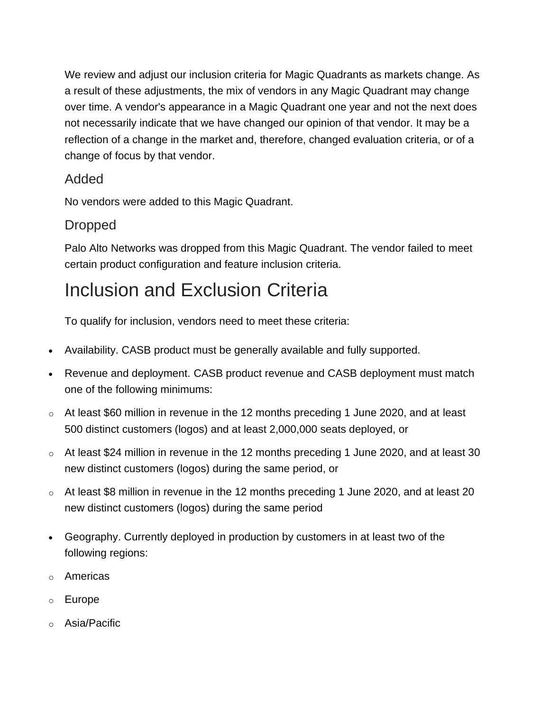We review and adjust our inclusion criteria for Magic Quadrants as markets change. As a result of these adjustments, the mix of vendors in any Magic Quadrant may change over time. A vendor's appearance in a Magic Quadrant one year and not the next does not necessarily indicate that we have changed our opinion of that vendor. It may be a reflection of a change in the market and, therefore, changed evaluation criteria, or of a change of focus by that vendor.

#### Added

No vendors were added to this Magic Quadrant.

### Dropped

Palo Alto Networks was dropped from this Magic Quadrant. The vendor failed to meet certain product configuration and feature inclusion criteria.

## Inclusion and Exclusion Criteria

To qualify for inclusion, vendors need to meet these criteria:

- Availability. CASB product must be generally available and fully supported.
- Revenue and deployment. CASB product revenue and CASB deployment must match one of the following minimums:
- $\circ$  At least \$60 million in revenue in the 12 months preceding 1 June 2020, and at least 500 distinct customers (logos) and at least 2,000,000 seats deployed, or
- o At least \$24 million in revenue in the 12 months preceding 1 June 2020, and at least 30 new distinct customers (logos) during the same period, or
- o At least \$8 million in revenue in the 12 months preceding 1 June 2020, and at least 20 new distinct customers (logos) during the same period
- Geography. Currently deployed in production by customers in at least two of the following regions:
- o Americas
- o Europe
- o Asia/Pacific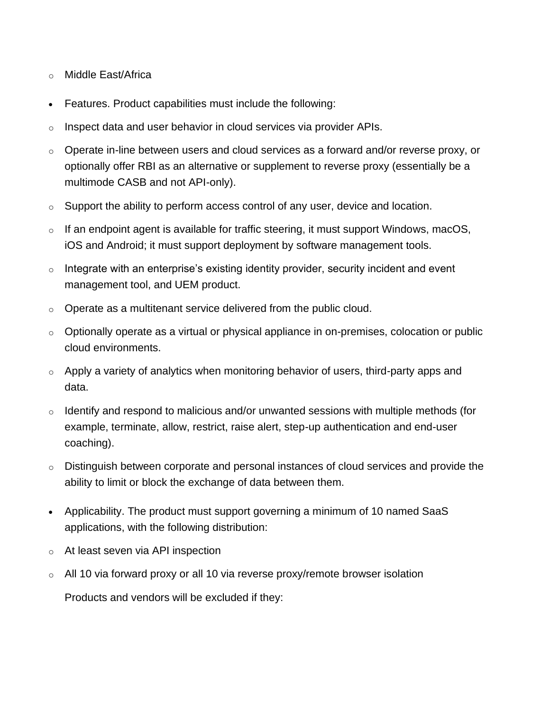- o Middle East/Africa
- Features. Product capabilities must include the following:
- $\circ$  Inspect data and user behavior in cloud services via provider APIs.
- o Operate in-line between users and cloud services as a forward and/or reverse proxy, or optionally offer RBI as an alternative or supplement to reverse proxy (essentially be a multimode CASB and not API-only).
- o Support the ability to perform access control of any user, device and location.
- $\circ$  If an endpoint agent is available for traffic steering, it must support Windows, macOS, iOS and Android; it must support deployment by software management tools.
- $\circ$  Integrate with an enterprise's existing identity provider, security incident and event management tool, and UEM product.
- $\circ$  Operate as a multitenant service delivered from the public cloud.
- $\circ$  Optionally operate as a virtual or physical appliance in on-premises, colocation or public cloud environments.
- $\circ$  Apply a variety of analytics when monitoring behavior of users, third-party apps and data.
- o Identify and respond to malicious and/or unwanted sessions with multiple methods (for example, terminate, allow, restrict, raise alert, step-up authentication and end-user coaching).
- o Distinguish between corporate and personal instances of cloud services and provide the ability to limit or block the exchange of data between them.
- Applicability. The product must support governing a minimum of 10 named SaaS applications, with the following distribution:
- o At least seven via API inspection
- $\circ$  All 10 via forward proxy or all 10 via reverse proxy/remote browser isolation

Products and vendors will be excluded if they: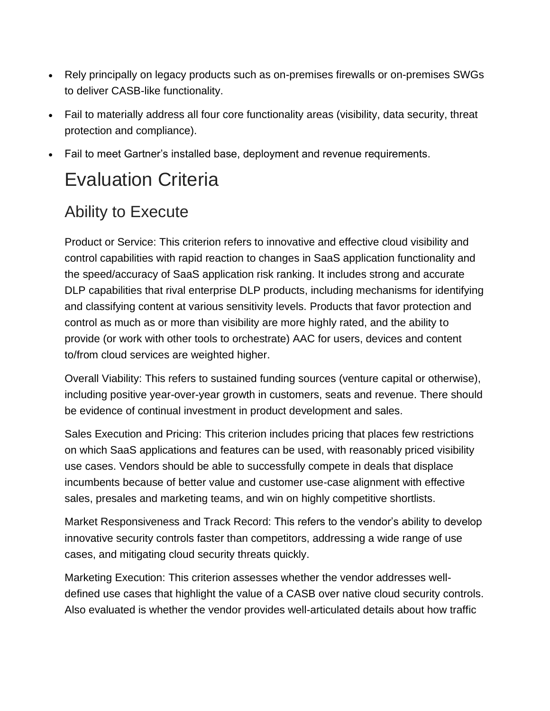- Rely principally on legacy products such as on-premises firewalls or on-premises SWGs to deliver CASB-like functionality.
- Fail to materially address all four core functionality areas (visibility, data security, threat protection and compliance).
- Fail to meet Gartner's installed base, deployment and revenue requirements.

## Evaluation Criteria

## Ability to Execute

Product or Service: This criterion refers to innovative and effective cloud visibility and control capabilities with rapid reaction to changes in SaaS application functionality and the speed/accuracy of SaaS application risk ranking. It includes strong and accurate DLP capabilities that rival enterprise DLP products, including mechanisms for identifying and classifying content at various sensitivity levels. Products that favor protection and control as much as or more than visibility are more highly rated, and the ability to provide (or work with other tools to orchestrate) AAC for users, devices and content to/from cloud services are weighted higher.

Overall Viability: This refers to sustained funding sources (venture capital or otherwise), including positive year-over-year growth in customers, seats and revenue. There should be evidence of continual investment in product development and sales.

Sales Execution and Pricing: This criterion includes pricing that places few restrictions on which SaaS applications and features can be used, with reasonably priced visibility use cases. Vendors should be able to successfully compete in deals that displace incumbents because of better value and customer use-case alignment with effective sales, presales and marketing teams, and win on highly competitive shortlists.

Market Responsiveness and Track Record: This refers to the vendor's ability to develop innovative security controls faster than competitors, addressing a wide range of use cases, and mitigating cloud security threats quickly.

Marketing Execution: This criterion assesses whether the vendor addresses welldefined use cases that highlight the value of a CASB over native cloud security controls. Also evaluated is whether the vendor provides well-articulated details about how traffic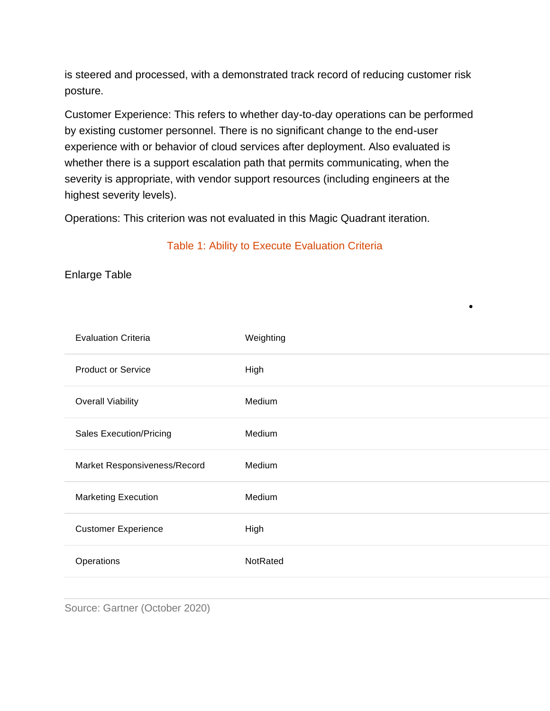is steered and processed, with a demonstrated track record of reducing customer risk posture.

Customer Experience: This refers to whether day-to-day operations can be performed by existing customer personnel. There is no significant change to the end-user experience with or behavior of cloud services after deployment. Also evaluated is whether there is a support escalation path that permits communicating, when the severity is appropriate, with vendor support resources (including engineers at the highest severity levels).

Operations: This criterion was not evaluated in this Magic Quadrant iteration.

#### Table 1: Ability to Execute Evaluation Criteria

Enlarge Table

| <b>Evaluation Criteria</b>     | Weighting |
|--------------------------------|-----------|
| <b>Product or Service</b>      | High      |
| <b>Overall Viability</b>       | Medium    |
| <b>Sales Execution/Pricing</b> | Medium    |
| Market Responsiveness/Record   | Medium    |
| <b>Marketing Execution</b>     | Medium    |
| <b>Customer Experience</b>     | High      |
| Operations                     | NotRated  |
|                                |           |

•

Source: Gartner (October 2020)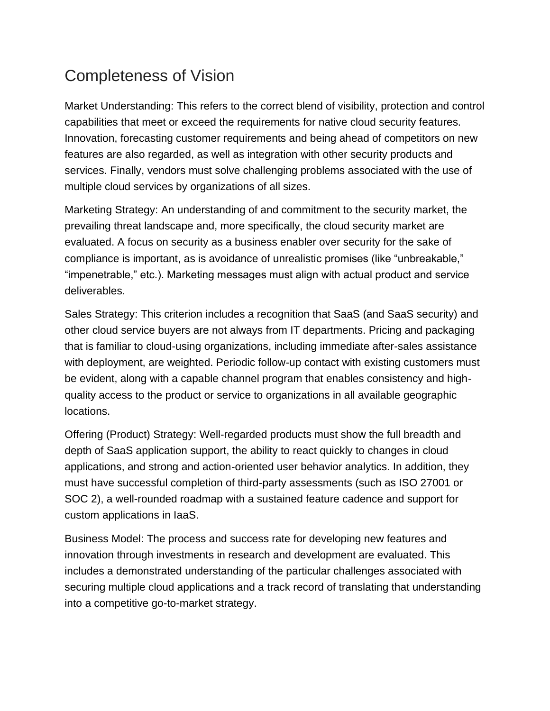## Completeness of Vision

Market Understanding: This refers to the correct blend of visibility, protection and control capabilities that meet or exceed the requirements for native cloud security features. Innovation, forecasting customer requirements and being ahead of competitors on new features are also regarded, as well as integration with other security products and services. Finally, vendors must solve challenging problems associated with the use of multiple cloud services by organizations of all sizes.

Marketing Strategy: An understanding of and commitment to the security market, the prevailing threat landscape and, more specifically, the cloud security market are evaluated. A focus on security as a business enabler over security for the sake of compliance is important, as is avoidance of unrealistic promises (like "unbreakable," "impenetrable," etc.). Marketing messages must align with actual product and service deliverables.

Sales Strategy: This criterion includes a recognition that SaaS (and SaaS security) and other cloud service buyers are not always from IT departments. Pricing and packaging that is familiar to cloud-using organizations, including immediate after-sales assistance with deployment, are weighted. Periodic follow-up contact with existing customers must be evident, along with a capable channel program that enables consistency and highquality access to the product or service to organizations in all available geographic locations.

Offering (Product) Strategy: Well-regarded products must show the full breadth and depth of SaaS application support, the ability to react quickly to changes in cloud applications, and strong and action-oriented user behavior analytics. In addition, they must have successful completion of third-party assessments (such as ISO 27001 or SOC 2), a well-rounded roadmap with a sustained feature cadence and support for custom applications in IaaS.

Business Model: The process and success rate for developing new features and innovation through investments in research and development are evaluated. This includes a demonstrated understanding of the particular challenges associated with securing multiple cloud applications and a track record of translating that understanding into a competitive go-to-market strategy.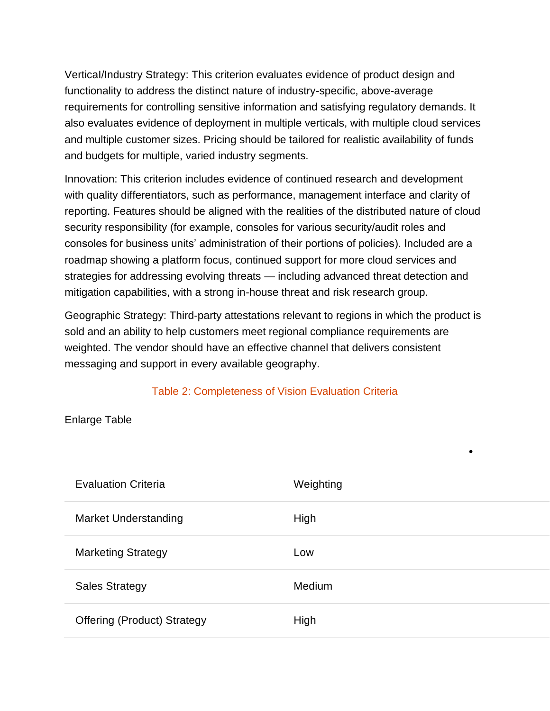VerticaI/Industry Strategy: This criterion evaluates evidence of product design and functionality to address the distinct nature of industry-specific, above-average requirements for controlling sensitive information and satisfying regulatory demands. It also evaluates evidence of deployment in multiple verticals, with multiple cloud services and multiple customer sizes. Pricing should be tailored for realistic availability of funds and budgets for multiple, varied industry segments.

Innovation: This criterion includes evidence of continued research and development with quality differentiators, such as performance, management interface and clarity of reporting. Features should be aligned with the realities of the distributed nature of cloud security responsibility (for example, consoles for various security/audit roles and consoles for business units' administration of their portions of policies). Included are a roadmap showing a platform focus, continued support for more cloud services and strategies for addressing evolving threats — including advanced threat detection and mitigation capabilities, with a strong in-house threat and risk research group.

Geographic Strategy: Third-party attestations relevant to regions in which the product is sold and an ability to help customers meet regional compliance requirements are weighted. The vendor should have an effective channel that delivers consistent messaging and support in every available geography.

#### Table 2: Completeness of Vision Evaluation Criteria

#### Enlarge Table

| <b>Evaluation Criteria</b>         | Weighting     |
|------------------------------------|---------------|
| <b>Market Understanding</b>        | High          |
| <b>Marketing Strategy</b>          | Low           |
| <b>Sales Strategy</b>              | <b>Medium</b> |
| <b>Offering (Product) Strategy</b> | High          |

•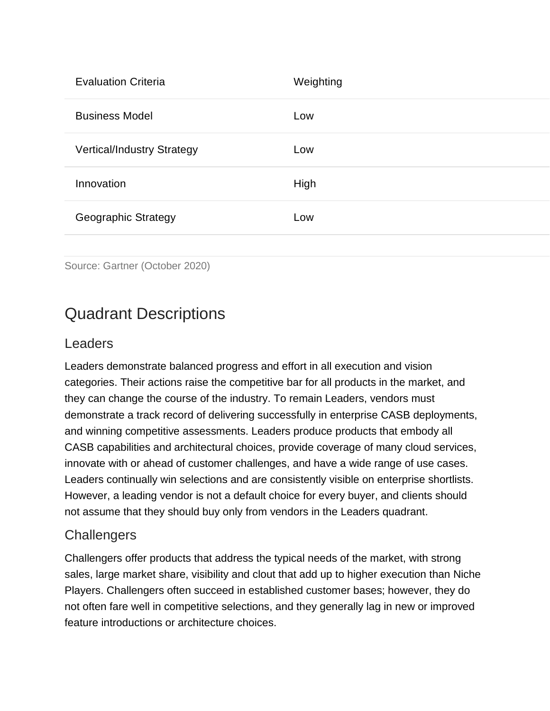| <b>Evaluation Criteria</b>        | Weighting |
|-----------------------------------|-----------|
| <b>Business Model</b>             | Low       |
| <b>Vertical/Industry Strategy</b> | Low       |
| Innovation                        | High      |
| <b>Geographic Strategy</b>        | Low       |
|                                   |           |

```
Source: Gartner (October 2020)
```
### Quadrant Descriptions

#### Leaders

Leaders demonstrate balanced progress and effort in all execution and vision categories. Their actions raise the competitive bar for all products in the market, and they can change the course of the industry. To remain Leaders, vendors must demonstrate a track record of delivering successfully in enterprise CASB deployments, and winning competitive assessments. Leaders produce products that embody all CASB capabilities and architectural choices, provide coverage of many cloud services, innovate with or ahead of customer challenges, and have a wide range of use cases. Leaders continually win selections and are consistently visible on enterprise shortlists. However, a leading vendor is not a default choice for every buyer, and clients should not assume that they should buy only from vendors in the Leaders quadrant.

#### **Challengers**

Challengers offer products that address the typical needs of the market, with strong sales, large market share, visibility and clout that add up to higher execution than Niche Players. Challengers often succeed in established customer bases; however, they do not often fare well in competitive selections, and they generally lag in new or improved feature introductions or architecture choices.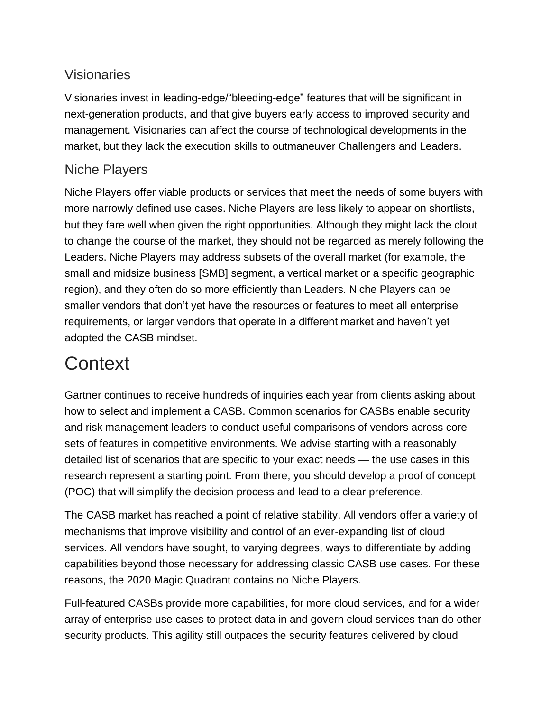### Visionaries

Visionaries invest in leading-edge/"bleeding-edge" features that will be significant in next-generation products, and that give buyers early access to improved security and management. Visionaries can affect the course of technological developments in the market, but they lack the execution skills to outmaneuver Challengers and Leaders.

#### Niche Players

Niche Players offer viable products or services that meet the needs of some buyers with more narrowly defined use cases. Niche Players are less likely to appear on shortlists, but they fare well when given the right opportunities. Although they might lack the clout to change the course of the market, they should not be regarded as merely following the Leaders. Niche Players may address subsets of the overall market (for example, the small and midsize business [SMB] segment, a vertical market or a specific geographic region), and they often do so more efficiently than Leaders. Niche Players can be smaller vendors that don't yet have the resources or features to meet all enterprise requirements, or larger vendors that operate in a different market and haven't yet adopted the CASB mindset.

## **Context**

Gartner continues to receive hundreds of inquiries each year from clients asking about how to select and implement a CASB. Common scenarios for CASBs enable security and risk management leaders to conduct useful comparisons of vendors across core sets of features in competitive environments. We advise starting with a reasonably detailed list of scenarios that are specific to your exact needs — the use cases in this research represent a starting point. From there, you should develop a proof of concept (POC) that will simplify the decision process and lead to a clear preference.

The CASB market has reached a point of relative stability. All vendors offer a variety of mechanisms that improve visibility and control of an ever-expanding list of cloud services. All vendors have sought, to varying degrees, ways to differentiate by adding capabilities beyond those necessary for addressing classic CASB use cases. For these reasons, the 2020 Magic Quadrant contains no Niche Players.

Full-featured CASBs provide more capabilities, for more cloud services, and for a wider array of enterprise use cases to protect data in and govern cloud services than do other security products. This agility still outpaces the security features delivered by cloud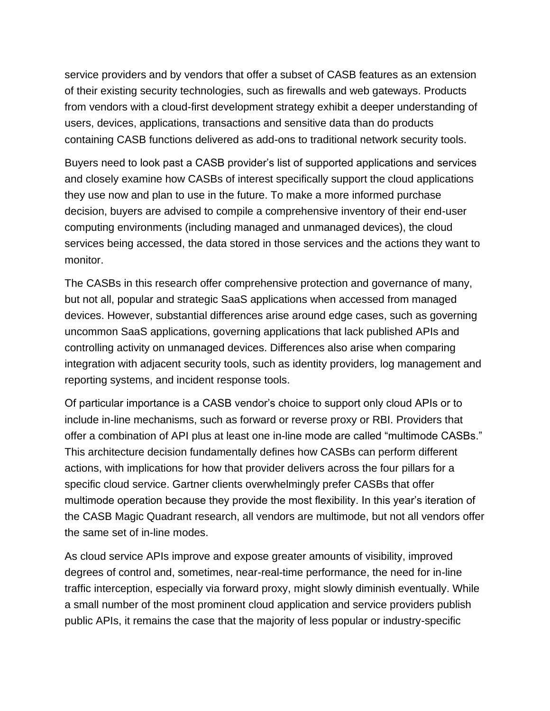service providers and by vendors that offer a subset of CASB features as an extension of their existing security technologies, such as firewalls and web gateways. Products from vendors with a cloud-first development strategy exhibit a deeper understanding of users, devices, applications, transactions and sensitive data than do products containing CASB functions delivered as add-ons to traditional network security tools.

Buyers need to look past a CASB provider's list of supported applications and services and closely examine how CASBs of interest specifically support the cloud applications they use now and plan to use in the future. To make a more informed purchase decision, buyers are advised to compile a comprehensive inventory of their end-user computing environments (including managed and unmanaged devices), the cloud services being accessed, the data stored in those services and the actions they want to monitor.

The CASBs in this research offer comprehensive protection and governance of many, but not all, popular and strategic SaaS applications when accessed from managed devices. However, substantial differences arise around edge cases, such as governing uncommon SaaS applications, governing applications that lack published APIs and controlling activity on unmanaged devices. Differences also arise when comparing integration with adjacent security tools, such as identity providers, log management and reporting systems, and incident response tools.

Of particular importance is a CASB vendor's choice to support only cloud APIs or to include in-line mechanisms, such as forward or reverse proxy or RBI. Providers that offer a combination of API plus at least one in-line mode are called "multimode CASBs." This architecture decision fundamentally defines how CASBs can perform different actions, with implications for how that provider delivers across the four pillars for a specific cloud service. Gartner clients overwhelmingly prefer CASBs that offer multimode operation because they provide the most flexibility. In this year's iteration of the CASB Magic Quadrant research, all vendors are multimode, but not all vendors offer the same set of in-line modes.

As cloud service APIs improve and expose greater amounts of visibility, improved degrees of control and, sometimes, near-real-time performance, the need for in-line traffic interception, especially via forward proxy, might slowly diminish eventually. While a small number of the most prominent cloud application and service providers publish public APIs, it remains the case that the majority of less popular or industry-specific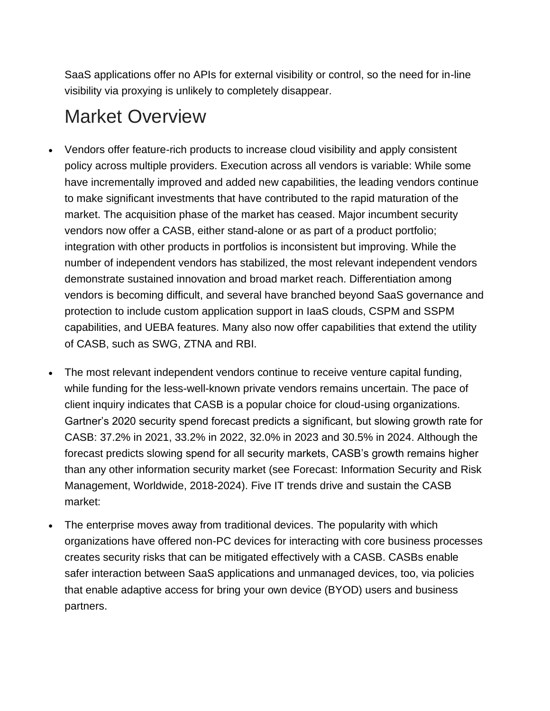SaaS applications offer no APIs for external visibility or control, so the need for in-line visibility via proxying is unlikely to completely disappear.

## Market Overview

- Vendors offer feature-rich products to increase cloud visibility and apply consistent policy across multiple providers. Execution across all vendors is variable: While some have incrementally improved and added new capabilities, the leading vendors continue to make significant investments that have contributed to the rapid maturation of the market. The acquisition phase of the market has ceased. Major incumbent security vendors now offer a CASB, either stand-alone or as part of a product portfolio; integration with other products in portfolios is inconsistent but improving. While the number of independent vendors has stabilized, the most relevant independent vendors demonstrate sustained innovation and broad market reach. Differentiation among vendors is becoming difficult, and several have branched beyond SaaS governance and protection to include custom application support in IaaS clouds, CSPM and SSPM capabilities, and UEBA features. Many also now offer capabilities that extend the utility of CASB, such as SWG, ZTNA and RBI.
- The most relevant independent vendors continue to receive venture capital funding, while funding for the less-well-known private vendors remains uncertain. The pace of client inquiry indicates that CASB is a popular choice for cloud-using organizations. Gartner's 2020 security spend forecast predicts a significant, but slowing growth rate for CASB: 37.2% in 2021, 33.2% in 2022, 32.0% in 2023 and 30.5% in 2024. Although the forecast predicts slowing spend for all security markets, CASB's growth remains higher than any other information security market (see Forecast: Information Security and Risk Management, Worldwide, 2018-2024). Five IT trends drive and sustain the CASB market:
- The enterprise moves away from traditional devices. The popularity with which organizations have offered non-PC devices for interacting with core business processes creates security risks that can be mitigated effectively with a CASB. CASBs enable safer interaction between SaaS applications and unmanaged devices, too, via policies that enable adaptive access for bring your own device (BYOD) users and business partners.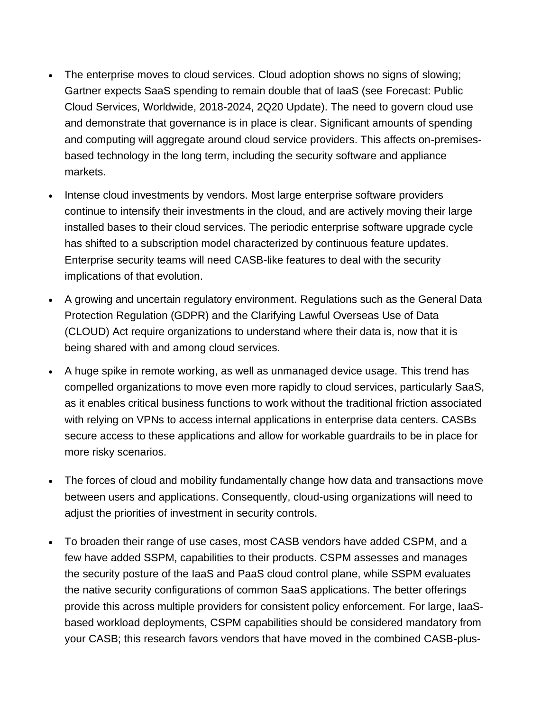- The enterprise moves to cloud services. Cloud adoption shows no signs of slowing; Gartner expects SaaS spending to remain double that of IaaS (see Forecast: Public Cloud Services, Worldwide, 2018-2024, 2Q20 Update). The need to govern cloud use and demonstrate that governance is in place is clear. Significant amounts of spending and computing will aggregate around cloud service providers. This affects on-premisesbased technology in the long term, including the security software and appliance markets.
- Intense cloud investments by vendors. Most large enterprise software providers continue to intensify their investments in the cloud, and are actively moving their large installed bases to their cloud services. The periodic enterprise software upgrade cycle has shifted to a subscription model characterized by continuous feature updates. Enterprise security teams will need CASB-like features to deal with the security implications of that evolution.
- A growing and uncertain regulatory environment. Regulations such as the General Data Protection Regulation (GDPR) and the Clarifying Lawful Overseas Use of Data (CLOUD) Act require organizations to understand where their data is, now that it is being shared with and among cloud services.
- A huge spike in remote working, as well as unmanaged device usage. This trend has compelled organizations to move even more rapidly to cloud services, particularly SaaS, as it enables critical business functions to work without the traditional friction associated with relying on VPNs to access internal applications in enterprise data centers. CASBs secure access to these applications and allow for workable guardrails to be in place for more risky scenarios.
- The forces of cloud and mobility fundamentally change how data and transactions move between users and applications. Consequently, cloud-using organizations will need to adjust the priorities of investment in security controls.
- To broaden their range of use cases, most CASB vendors have added CSPM, and a few have added SSPM, capabilities to their products. CSPM assesses and manages the security posture of the IaaS and PaaS cloud control plane, while SSPM evaluates the native security configurations of common SaaS applications. The better offerings provide this across multiple providers for consistent policy enforcement. For large, IaaSbased workload deployments, CSPM capabilities should be considered mandatory from your CASB; this research favors vendors that have moved in the combined CASB-plus-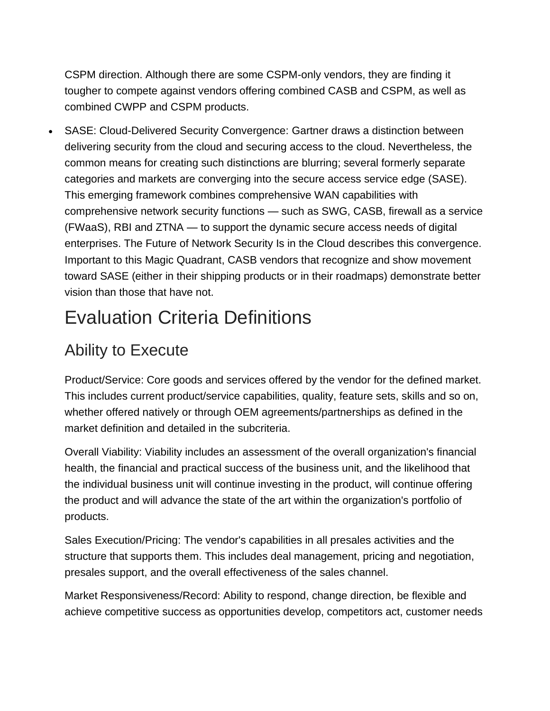CSPM direction. Although there are some CSPM-only vendors, they are finding it tougher to compete against vendors offering combined CASB and CSPM, as well as combined CWPP and CSPM products.

• SASE: Cloud-Delivered Security Convergence: Gartner draws a distinction between delivering security from the cloud and securing access to the cloud. Nevertheless, the common means for creating such distinctions are blurring; several formerly separate categories and markets are converging into the secure access service edge (SASE). This emerging framework combines comprehensive WAN capabilities with comprehensive network security functions — such as SWG, CASB, firewall as a service (FWaaS), RBI and ZTNA — to support the dynamic secure access needs of digital enterprises. The Future of Network Security Is in the Cloud describes this convergence. Important to this Magic Quadrant, CASB vendors that recognize and show movement toward SASE (either in their shipping products or in their roadmaps) demonstrate better vision than those that have not.

## Evaluation Criteria Definitions

### Ability to Execute

Product/Service: Core goods and services offered by the vendor for the defined market. This includes current product/service capabilities, quality, feature sets, skills and so on, whether offered natively or through OEM agreements/partnerships as defined in the market definition and detailed in the subcriteria.

Overall Viability: Viability includes an assessment of the overall organization's financial health, the financial and practical success of the business unit, and the likelihood that the individual business unit will continue investing in the product, will continue offering the product and will advance the state of the art within the organization's portfolio of products.

Sales Execution/Pricing: The vendor's capabilities in all presales activities and the structure that supports them. This includes deal management, pricing and negotiation, presales support, and the overall effectiveness of the sales channel.

Market Responsiveness/Record: Ability to respond, change direction, be flexible and achieve competitive success as opportunities develop, competitors act, customer needs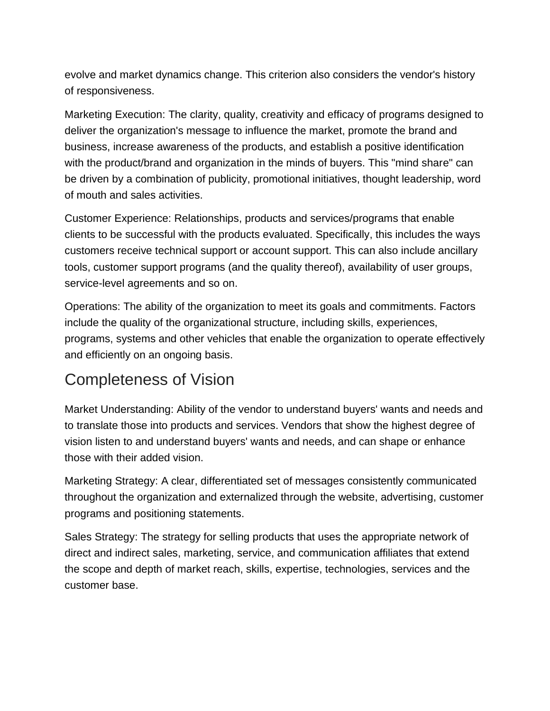evolve and market dynamics change. This criterion also considers the vendor's history of responsiveness.

Marketing Execution: The clarity, quality, creativity and efficacy of programs designed to deliver the organization's message to influence the market, promote the brand and business, increase awareness of the products, and establish a positive identification with the product/brand and organization in the minds of buyers. This "mind share" can be driven by a combination of publicity, promotional initiatives, thought leadership, word of mouth and sales activities.

Customer Experience: Relationships, products and services/programs that enable clients to be successful with the products evaluated. Specifically, this includes the ways customers receive technical support or account support. This can also include ancillary tools, customer support programs (and the quality thereof), availability of user groups, service-level agreements and so on.

Operations: The ability of the organization to meet its goals and commitments. Factors include the quality of the organizational structure, including skills, experiences, programs, systems and other vehicles that enable the organization to operate effectively and efficiently on an ongoing basis.

### Completeness of Vision

Market Understanding: Ability of the vendor to understand buyers' wants and needs and to translate those into products and services. Vendors that show the highest degree of vision listen to and understand buyers' wants and needs, and can shape or enhance those with their added vision.

Marketing Strategy: A clear, differentiated set of messages consistently communicated throughout the organization and externalized through the website, advertising, customer programs and positioning statements.

Sales Strategy: The strategy for selling products that uses the appropriate network of direct and indirect sales, marketing, service, and communication affiliates that extend the scope and depth of market reach, skills, expertise, technologies, services and the customer base.